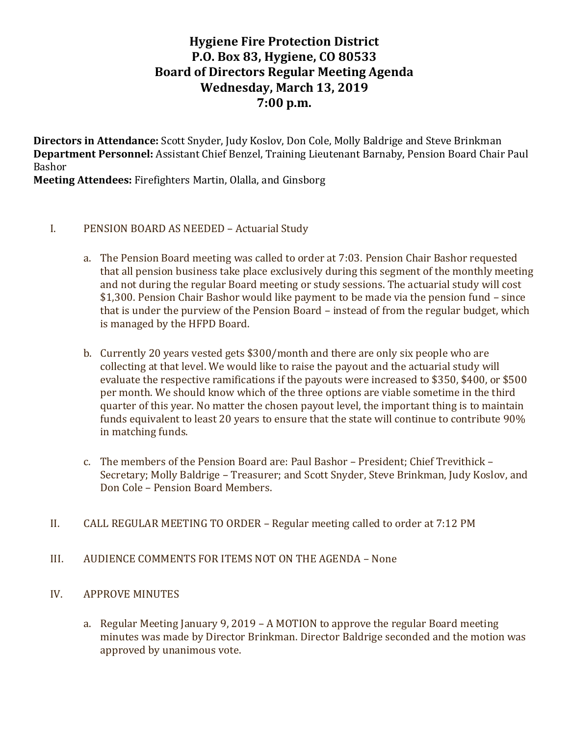# **Hygiene Fire Protection District P.O. Box 83, Hygiene, CO 80533 Board of Directors Regular Meeting Agenda Wednesday, March 13, 2019 7:00 p.m.**

**Directors in Attendance:** Scott Snyder, Judy Koslov, Don Cole, Molly Baldrige and Steve Brinkman **Department Personnel:** Assistant Chief Benzel, Training Lieutenant Barnaby, Pension Board Chair Paul Bashor

**Meeting Attendees:** Firefighters Martin, Olalla, and Ginsborg

#### I. PENSION BOARD AS NEEDED – Actuarial Study

- a. The Pension Board meeting was called to order at 7:03. Pension Chair Bashor requested that all pension business take place exclusively during this segment of the monthly meeting and not during the regular Board meeting or study sessions. The actuarial study will cost \$1,300. Pension Chair Bashor would like payment to be made via the pension fund – since that is under the purview of the Pension Board – instead of from the regular budget, which is managed by the HFPD Board.
- b. Currently 20 years vested gets \$300/month and there are only six people who are collecting at that level. We would like to raise the payout and the actuarial study will evaluate the respective ramifications if the payouts were increased to \$350, \$400, or \$500 per month. We should know which of the three options are viable sometime in the third quarter of this year. No matter the chosen payout level, the important thing is to maintain funds equivalent to least 20 years to ensure that the state will continue to contribute 90% in matching funds.
- c. The members of the Pension Board are: Paul Bashor President; Chief Trevithick Secretary; Molly Baldrige – Treasurer; and Scott Snyder, Steve Brinkman, Judy Koslov, and Don Cole – Pension Board Members.
- II. CALL REGULAR MEETING TO ORDER Regular meeting called to order at 7:12 PM
- III. AUDIENCE COMMENTS FOR ITEMS NOT ON THE AGENDA None

#### IV. APPROVE MINUTES

a. Regular Meeting January 9, 2019 – A MOTION to approve the regular Board meeting minutes was made by Director Brinkman. Director Baldrige seconded and the motion was approved by unanimous vote.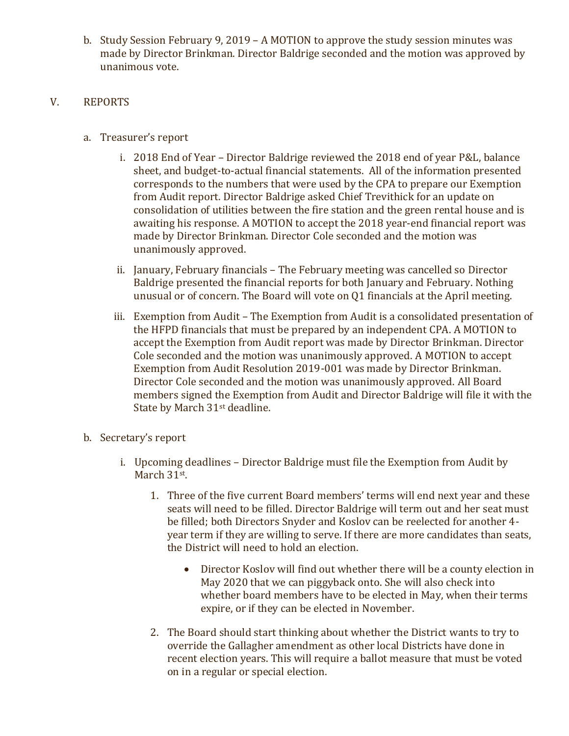b. Study Session February 9, 2019 – A MOTION to approve the study session minutes was made by Director Brinkman. Director Baldrige seconded and the motion was approved by unanimous vote.

### V. REPORTS

- a. Treasurer's report
	- i. 2018 End of Year Director Baldrige reviewed the 2018 end of year P&L, balance sheet, and budget-to-actual financial statements. All of the information presented corresponds to the numbers that were used by the CPA to prepare our Exemption from Audit report. Director Baldrige asked Chief Trevithick for an update on consolidation of utilities between the fire station and the green rental house and is awaiting his response. A MOTION to accept the 2018 year-end financial report was made by Director Brinkman. Director Cole seconded and the motion was unanimously approved.
	- ii. January, February financials The February meeting was cancelled so Director Baldrige presented the financial reports for both January and February. Nothing unusual or of concern. The Board will vote on Q1 financials at the April meeting.
	- iii. Exemption from Audit The Exemption from Audit is a consolidated presentation of the HFPD financials that must be prepared by an independent CPA. A MOTION to accept the Exemption from Audit report was made by Director Brinkman. Director Cole seconded and the motion was unanimously approved. A MOTION to accept Exemption from Audit Resolution 2019-001 was made by Director Brinkman. Director Cole seconded and the motion was unanimously approved. All Board members signed the Exemption from Audit and Director Baldrige will file it with the State by March 31<sup>st</sup> deadline.
- b. Secretary's report
	- i. Upcoming deadlines Director Baldrige must file the Exemption from Audit by March 31st.
		- 1. Three of the five current Board members' terms will end next year and these seats will need to be filled. Director Baldrige will term out and her seat must be filled; both Directors Snyder and Koslov can be reelected for another 4 year term if they are willing to serve. If there are more candidates than seats, the District will need to hold an election.
			- Director Koslov will find out whether there will be a county election in May 2020 that we can piggyback onto. She will also check into whether board members have to be elected in May, when their terms expire, or if they can be elected in November.
		- 2. The Board should start thinking about whether the District wants to try to override the Gallagher amendment as other local Districts have done in recent election years. This will require a ballot measure that must be voted on in a regular or special election.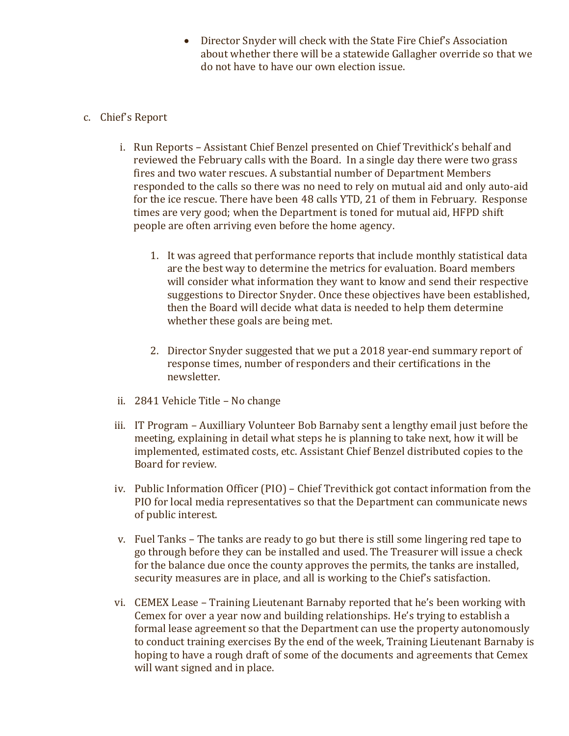• Director Snyder will check with the State Fire Chief's Association about whether there will be a statewide Gallagher override so that we do not have to have our own election issue.

#### c. Chief's Report

- i. Run Reports Assistant Chief Benzel presented on Chief Trevithick's behalf and reviewed the February calls with the Board. In a single day there were two grass fires and two water rescues. A substantial number of Department Members responded to the calls so there was no need to rely on mutual aid and only auto-aid for the ice rescue. There have been 48 calls YTD, 21 of them in February. Response times are very good; when the Department is toned for mutual aid, HFPD shift people are often arriving even before the home agency.
	- 1. It was agreed that performance reports that include monthly statistical data are the best way to determine the metrics for evaluation. Board members will consider what information they want to know and send their respective suggestions to Director Snyder. Once these objectives have been established, then the Board will decide what data is needed to help them determine whether these goals are being met.
	- 2. Director Snyder suggested that we put a 2018 year-end summary report of response times, number of responders and their certifications in the newsletter.
- ii. 2841 Vehicle Title No change
- iii. IT Program Auxilliary Volunteer Bob Barnaby sent a lengthy email just before the meeting, explaining in detail what steps he is planning to take next, how it will be implemented, estimated costs, etc. Assistant Chief Benzel distributed copies to the Board for review.
- iv. Public Information Officer (PIO) Chief Trevithick got contact information from the PIO for local media representatives so that the Department can communicate news of public interest.
- v. Fuel Tanks The tanks are ready to go but there is still some lingering red tape to go through before they can be installed and used. The Treasurer will issue a check for the balance due once the county approves the permits, the tanks are installed, security measures are in place, and all is working to the Chief's satisfaction.
- vi. CEMEX Lease Training Lieutenant Barnaby reported that he's been working with Cemex for over a year now and building relationships. He's trying to establish a formal lease agreement so that the Department can use the property autonomously to conduct training exercises By the end of the week, Training Lieutenant Barnaby is hoping to have a rough draft of some of the documents and agreements that Cemex will want signed and in place.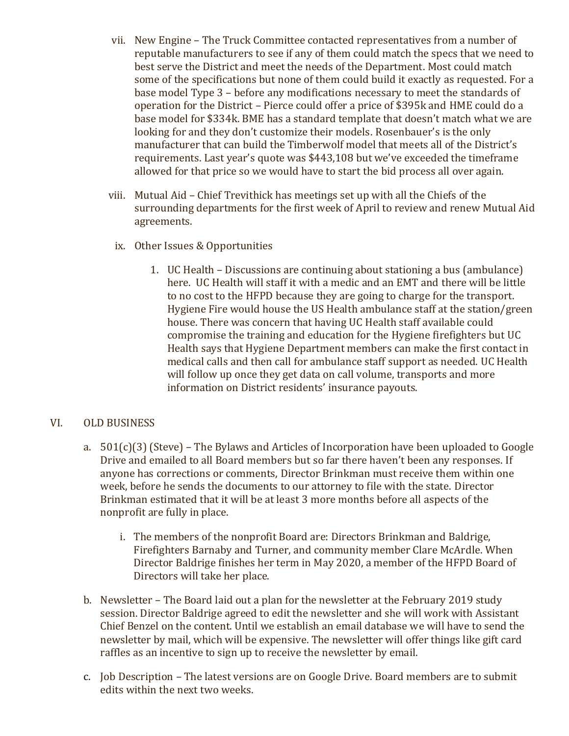- vii. New Engine The Truck Committee contacted representatives from a number of reputable manufacturers to see if any of them could match the specs that we need to best serve the District and meet the needs of the Department. Most could match some of the specifications but none of them could build it exactly as requested. For a base model Type 3 – before any modifications necessary to meet the standards of operation for the District – Pierce could offer a price of \$395k and HME could do a base model for \$334k. BME has a standard template that doesn't match what we are looking for and they don't customize their models. Rosenbauer's is the only manufacturer that can build the Timberwolf model that meets all of the District's requirements. Last year's quote was \$443,108 but we've exceeded the timeframe allowed for that price so we would have to start the bid process all over again.
- viii. Mutual Aid Chief Trevithick has meetings set up with all the Chiefs of the surrounding departments for the first week of April to review and renew Mutual Aid agreements.
	- ix. Other Issues & Opportunities
		- 1. UC Health Discussions are continuing about stationing a bus (ambulance) here. UC Health will staff it with a medic and an EMT and there will be little to no cost to the HFPD because they are going to charge for the transport. Hygiene Fire would house the US Health ambulance staff at the station/green house. There was concern that having UC Health staff available could compromise the training and education for the Hygiene firefighters but UC Health says that Hygiene Department members can make the first contact in medical calls and then call for ambulance staff support as needed. UC Health will follow up once they get data on call volume, transports and more information on District residents' insurance payouts.

#### VI. OLD BUSINESS

- a. 501(c)(3) (Steve) The Bylaws and Articles of Incorporation have been uploaded to Google Drive and emailed to all Board members but so far there haven't been any responses. If anyone has corrections or comments, Director Brinkman must receive them within one week, before he sends the documents to our attorney to file with the state. Director Brinkman estimated that it will be at least 3 more months before all aspects of the nonprofit are fully in place.
	- i. The members of the nonprofit Board are: Directors Brinkman and Baldrige, Firefighters Barnaby and Turner, and community member Clare McArdle. When Director Baldrige finishes her term in May 2020, a member of the HFPD Board of Directors will take her place.
- b. Newsletter The Board laid out a plan for the newsletter at the February 2019 study session. Director Baldrige agreed to edit the newsletter and she will work with Assistant Chief Benzel on the content. Until we establish an email database we will have to send the newsletter by mail, which will be expensive. The newsletter will offer things like gift card raffles as an incentive to sign up to receive the newsletter by email.
- c. Job Description The latest versions are on Google Drive. Board members are to submit edits within the next two weeks.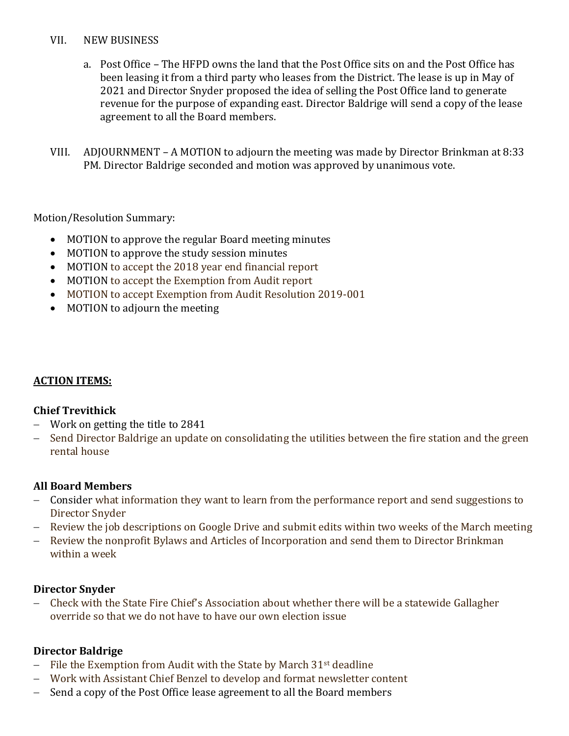#### VII. NEW BUSINESS

- a. Post Office The HFPD owns the land that the Post Office sits on and the Post Office has been leasing it from a third party who leases from the District. The lease is up in May of 2021 and Director Snyder proposed the idea of selling the Post Office land to generate revenue for the purpose of expanding east. Director Baldrige will send a copy of the lease agreement to all the Board members.
- VIII. ADJOURNMENT A MOTION to adjourn the meeting was made by Director Brinkman at 8:33 PM. Director Baldrige seconded and motion was approved by unanimous vote.

Motion/Resolution Summary:

- MOTION to approve the regular Board meeting minutes
- MOTION to approve the study session minutes
- MOTION to accept the 2018 year end financial report
- MOTION to accept the Exemption from Audit report
- MOTION to accept Exemption from Audit Resolution 2019-001
- MOTION to adjourn the meeting

## **ACTION ITEMS:**

## **Chief Trevithick**

- − Work on getting the title to 2841
- − Send Director Baldrige an update on consolidating the utilities between the fire station and the green rental house

## **All Board Members**

- − Consider what information they want to learn from the performance report and send suggestions to Director Snyder
- − Review the job descriptions on Google Drive and submit edits within two weeks of the March meeting
- − Review the nonprofit Bylaws and Articles of Incorporation and send them to Director Brinkman within a week

## **Director Snyder**

− Check with the State Fire Chief's Association about whether there will be a statewide Gallagher override so that we do not have to have our own election issue

## **Director Baldrige**

- − File the Exemption from Audit with the State by March 31st deadline
- − Work with Assistant Chief Benzel to develop and format newsletter content
- − Send a copy of the Post Office lease agreement to all the Board members